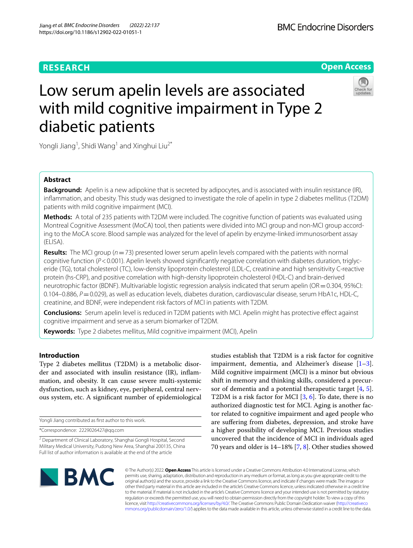# **RESEARCH**





# Low serum apelin levels are associated with mild cognitive impairment in Type 2 diabetic patients

Yongli Jiang<sup>1</sup>, Shidi Wang<sup>1</sup> and Xinghui Liu<sup>2\*</sup>

# **Abstract**

**Background:** Apelin is a new adipokine that is secreted by adipocytes, and is associated with insulin resistance (IR), infammation, and obesity. This study was designed to investigate the role of apelin in type 2 diabetes mellitus (T2DM) patients with mild cognitive impairment (MCI).

**Methods:** A total of 235 patients with T2DM were included. The cognitive function of patients was evaluated using Montreal Cognitive Assessment (MoCA) tool, then patients were divided into MCI group and non-MCI group according to the MoCA score. Blood sample was analyzed for the level of apelin by enzyme-linked immunosorbent assay (ELISA).

**Results:** The MCI group (*n*=73) presented lower serum apelin levels compared with the patients with normal cognitive function (*P*<0.001). Apelin levels showed significantly negative correlation with diabetes duration, triglyceride (TG), total cholesterol (TC), low-density lipoprotein cholesterol (LDL-C, creatinine and high sensitivity C-reactive protein (hs-CRP), and positive correlation with high-density lipoprotein cholesterol (HDL-C) and brain-derived neurotrophic factor (BDNF). Multivariable logistic regression analysis indicated that serum apelin (OR=0.304, 95%CI: 0.104–0.886, *P*=0.029), as well as education levels, diabetes duration, cardiovascular disease, serum HbA1c, HDL-C, creatinine, and BDNF, were independent risk factors of MCI in patients with T2DM.

**Conclusions:** Serum apelin level is reduced in T2DM patients with MCI. Apelin might has protective efect against cognitive impairment and serve as a serum biomarker of T2DM.

**Keywords:** Type 2 diabetes mellitus, Mild cognitive impairment (MCI), Apelin

# **Introduction**

Type 2 diabetes mellitus (T2DM) is a metabolic disorder and associated with insulin resistance (IR), infammation, and obesity. It can cause severe multi-systemic dysfunction, such as kidney, eye, peripheral, central nervous system, etc. A signifcant number of epidemiological

Yongli Jiang contributed as frst author to this work.

\*Correspondence: 2229026427@qq.com

studies establish that T2DM is a risk factor for cognitive impairment, dementia, and Alzheimer's disease [\[1](#page-4-0)[–3](#page-4-1)]. Mild cognitive impairment (MCI) is a minor but obvious shift in memory and thinking skills, considered a precursor of dementia and a potential therapeutic target [\[4,](#page-4-2) [5](#page-4-3)]. T2DM is a risk factor for MCI [\[3](#page-4-1), [6\]](#page-4-4). To date, there is no authorized diagnostic test for MCI. Aging is another factor related to cognitive impairment and aged people who are sufering from diabetes, depression, and stroke have a higher possibility of developing MCI. Previous studies uncovered that the incidence of MCI in individuals aged 70 years and older is 14–18% [[7,](#page-4-5) [8](#page-4-6)]. Other studies showed



© The Author(s) 2022. **Open Access** This article is licensed under a Creative Commons Attribution 4.0 International License, which permits use, sharing, adaptation, distribution and reproduction in any medium or format, as long as you give appropriate credit to the original author(s) and the source, provide a link to the Creative Commons licence, and indicate if changes were made. The images or other third party material in this article are included in the article's Creative Commons licence, unless indicated otherwise in a credit line to the material. If material is not included in the article's Creative Commons licence and your intended use is not permitted by statutory regulation or exceeds the permitted use, you will need to obtain permission directly from the copyright holder. To view a copy of this licence, visit [http://creativecommons.org/licenses/by/4.0/.](http://creativecommons.org/licenses/by/4.0/) The Creative Commons Public Domain Dedication waiver ([http://creativeco](http://creativecommons.org/publicdomain/zero/1.0/) [mmons.org/publicdomain/zero/1.0/](http://creativecommons.org/publicdomain/zero/1.0/)) applies to the data made available in this article, unless otherwise stated in a credit line to the data.

<sup>&</sup>lt;sup>2</sup> Department of Clinical Laboratory, Shanghai Gongli Hospital, Second Military Medical University, Pudong New Area, Shanghai 200135, China Full list of author information is available at the end of the article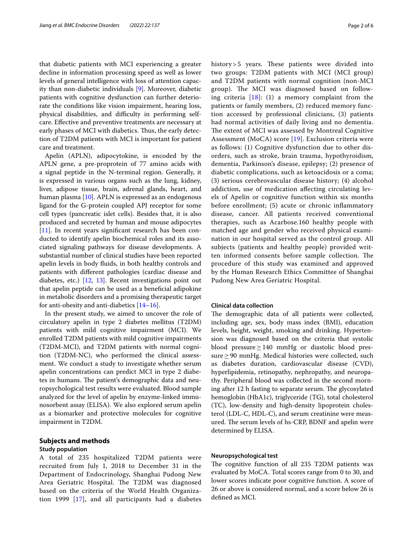that diabetic patients with MCI experiencing a greater decline in information processing speed as well as lower levels of general intelligence with loss of attention capacity than non-diabetic individuals [\[9](#page-4-7)]. Moreover, diabetic patients with cognitive dysfunction can further deteriorate the conditions like vision impairment, hearing loss, physical disabilities, and difficulty in performing selfcare. Efective and preventive treatments are necessary at early phases of MCI with diabetics. Thus, the early detection of T2DM patients with MCI is important for patient care and treatment.

Apelin (APLN), adipocytokine, is encoded by the APLN gene, a pre-proprotein of 77 amino acids with a signal peptide in the N-terminal region. Generally, it is expressed in various organs such as the lung, kidney, liver, adipose tissue, brain, adrenal glands, heart, and human plasma [\[10\]](#page-4-8). APLN is expressed as an endogenous ligand for the G-protein coupled APJ receptor for some cell types (pancreatic islet cells). Besides that, it is also produced and secreted by human and mouse adipocytes [[11\]](#page-4-9). In recent years significant research has been conducted to identify apelin biochemical roles and its associated signaling pathways for disease developments. A substantial number of clinical studies have been reported apelin levels in body fuids, in both healthy controls and patients with diferent pathologies (cardiac disease and diabetes, etc.) [\[12](#page-4-10), [13](#page-4-11)]. Recent investigations point out that apelin peptide can be used as a benefcial adipokine in metabolic disorders and a promising therapeutic target for anti-obesity and anti-diabetics  $[14–16]$  $[14–16]$ .

In the present study, we aimed to uncover the role of circulatory apelin in type 2 diabetes mellitus (T2DM) patients with mild cognitive impairment (MCI). We enrolled T2DM patients with mild cognitive impairments (T2DM-MCI), and T2DM patients with normal cognition (T2DM-NC), who performed the clinical assessment. We conduct a study to investigate whether serum apelin concentrations can predict MCI in type 2 diabetes in humans. The patient's demographic data and neuropsychological test results were evaluated. Blood sample analyzed for the level of apelin by enzyme-linked immunosorbent assay (ELISA). We also explored serum apelin as a biomarker and protective molecules for cognitive impairment in T2DM.

# **Subjects and methods**

# **Study population**

A total of 235 hospitalized T2DM patients were recruited from July 1, 2018 to December 31 in the Department of Endocrinology, Shanghai Pudong New Area Geriatric Hospital. The T2DM was diagnosed based on the criteria of the World Health Organization 1999 [[17](#page-5-2)], and all participants had a diabetes history  $>$  5 years. These patients were divided into two groups: T2DM patients with MCI (MCI group) and T2DM patients with normal cognition (non-MCI group). The MCI was diagnosed based on following criteria [[18\]](#page-5-3): (1) a memory complaint from the patients or family members, (2) reduced memory function accessed by professional clinicians, (3) patients had normal activities of daily living and no dementia. The extent of MCI was assessed by Montreal Cognitive Assessment (MoCA) score [\[19](#page-5-4)]. Exclusion criteria were as follows: (1) Cognitive dysfunction due to other disorders, such as stroke, brain trauma, hypothyroidism, dementia, Parkinson's disease, epilepsy; (2) presence of diabetic complications, such as ketoacidosis or a coma; (3) serious cerebrovascular disease history; (4) alcohol addiction, use of medication afecting circulating levels of Apelin or cognitive function within six months before enrollment; (5) acute or chronic infammatory disease, cancer. All patients received conventional therapies, such as Acarbose.160 healthy people with matched age and gender who received physical examination in our hospital served as the control group. All subjects (patients and healthy people) provided written informed consents before sample collection. The procedure of this study was examined and approved by the Human Research Ethics Committee of Shanghai Pudong New Area Geriatric Hospital.

# **Clinical data collection**

The demographic data of all patients were collected, including age, sex, body mass index (BMI), education levels, height, weight, smoking and drinking. Hypertension was diagnosed based on the criteria that systolic blood pressure≥140 mmHg or diastolic blood pressure≥90 mmHg. Medical histories were collected, such as diabetes duration, cardiovascular disease (CVD), hyperlipidemia, retinopathy, nephropathy, and neuropathy. Peripheral blood was collected in the second morning after 12 h fasting to separate serum. The glycosylated hemoglobin (HbA1c), triglyceride (TG), total cholesterol (TC), low-density and high-density lipoprotein cholesterol (LDL-C, HDL-C), and serum creatinine were measured. The serum levels of hs-CRP, BDNF and apelin were determined by ELISA.

## **Neuropsychological test**

The cognitive function of all 235 T2DM patients was evaluated by MoCA. Total scores range from 0 to 30, and lower scores indicate poor cognitive function. A score of 26 or above is considered normal, and a score below 26 is defned as MCI.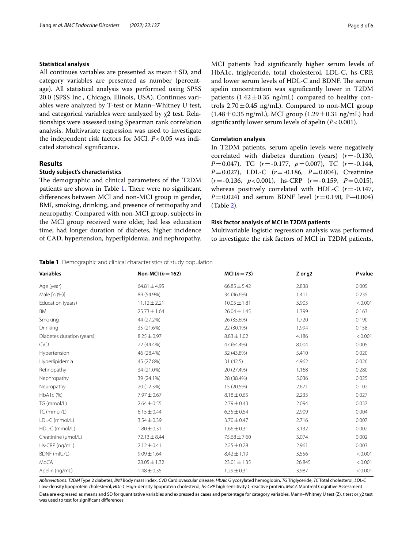# **Statistical analysis**

All continues variables are presented as mean $\pm$ SD, and category variables are presented as number (percentage). All statistical analysis was performed using SPSS 20.0 (SPSS Inc., Chicago, Illinois, USA). Continues variables were analyzed by T-test or Mann–Whitney U test, and categorical variables were analyzed by χ2 test. Relationships were assessed using Spearman rank correlation analysis. Multivariate regression was used to investigate the independent risk factors for MCI. *P*<0.05 was indicated statistical signifcance.

# **Results**

# **Study subject's characteristics**

The demographic and clinical parameters of the T2DM patients are shown in Table [1.](#page-2-0) There were no significant diferences between MCI and non-MCI group in gender, BMI, smoking, drinking, and presence of retinopathy and neuropathy. Compared with non-MCI group, subjects in the MCI group received were older, had less education time, had longer duration of diabetes, higher incidence of CAD, hypertension, hyperlipidemia, and nephropathy. MCI patients had signifcantly higher serum levels of HbA1c, triglyceride, total cholesterol, LDL-C, hs-CRP, and lower serum levels of HDL-C and BDNF. The serum apelin concentration was signifcantly lower in T2DM patients  $(1.42 \pm 0.35 \text{ ng/mL})$  compared to healthy controls  $2.70 \pm 0.45$  ng/mL). Compared to non-MCI group  $(1.48 \pm 0.35 \text{ ng/mL})$ , MCI group  $(1.29 \pm 0.31 \text{ ng/mL})$  had signifcantly lower serum levels of apelin (*P*<0.001).

# **Correlation analysis**

In T2DM patients, serum apelin levels were negatively correlated with diabetes duration (years) (*r*=-0.130, *P*=0.047), TG (*r*=-0.177, *p*=0.007), TC (*r*=-0.144, *P*=0.027), LDL-C (*r*=-0.186, *P*=0.004), Creatinine (*r*=-0.136, *p*<0.001), hs-CRP (*r*=-0.159, *P*=0.015), whereas positively correlated with HDL-C (*r*=-0.147, *P*=0.024) and serum BDNF level  $(r=0.190, P-0.004)$ (Table [2\)](#page-3-0).

## **Risk factor analysis of MCI in T2DM patients**

Multivariable logistic regression analysis was performed to investigate the risk factors of MCI in T2DM patients,

<span id="page-2-0"></span>**Table 1** Demographic and clinical characteristics of study population

| <b>Variables</b>          | Non-MCI ( $n = 162$ ) | $MCI(n=73)$      | Z or x2 | P value |
|---------------------------|-----------------------|------------------|---------|---------|
| Age (year)                | $64.81 \pm 4.95$      | $66.85 \pm 5.42$ | 2.838   | 0.005   |
| Male [n (%)]              | 89 (54.9%)            | 34 (46.6%)       | 1.411   | 0.235   |
| Education (years)         | $11.12 \pm 2.21$      | $10.05 \pm 1.81$ | 3.903   | < 0.001 |
| BMI                       | $25.73 \pm 1.64$      | $26.04 \pm 1.45$ | 1.399   | 0.163   |
| Smoking                   | 44 (27.2%)            | 26 (35.6%)       | 1.720   | 0.190   |
| Drinking                  | 35 (21.6%)            | 22 (30.1%)       | 1.994   | 0.158   |
| Diabetes duration (years) | $8.25 \pm 0.97$       | $8.83 \pm 1.02$  | 4.186   | < 0.001 |
| <b>CVD</b>                | 72 (44.4%)            | 47 (64.4%)       | 8.004   | 0.005   |
| Hypertension              | 46 (28.4%)            | 32 (43.8%)       | 5.410   | 0.020   |
| Hyperlipidemia            | 45 (27.8%)            | 31(42.5)         | 4.962   | 0.026   |
| Retinopathy               | 34 (21.0%)            | 20 (27.4%)       | 1.168   | 0.280   |
| Nephropathy               | 39 (24.1%)            | 28 (38.4%)       | 5.036   | 0.025   |
| Neuropathy                | 20 (12.3%)            | 15 (20.5%)       | 2.671   | 0.102   |
| $HbA1c$ (%)               | $7.97 \pm 0.67$       | $8.18 \pm 0.65$  | 2.233   | 0.027   |
| TG (mmol/L)               | $2.64 \pm 0.55$       | $2.79 \pm 0.43$  | 2.094   | 0.037   |
| TC (mmol/L)               | $6.15 \pm 0.44$       | $6.35 \pm 0.54$  | 2.909   | 0.004   |
| LDL-C (mmol/L)            | $3.54 \pm 0.39$       | $3.70 \pm 0.47$  | 2.716   | 0.007   |
| HDL-C (mmol/L)            | $1.80 \pm 0.31$       | $1.66 \pm 0.31$  | 3.132   | 0.002   |
| Creatinine (µmol/L)       | $72.13 \pm 8.44$      | 75.68 ± 7.60     | 3.074   | 0.002   |
| Hs-CRP (ng/mL)            | $2.12 \pm 0.41$       | $2.25 \pm 0.28$  | 2.961   | 0.003   |
| BDNF (mIU/L)              | $9.09 \pm 1.64$       | $8.42 \pm 1.19$  | 3.556   | < 0.001 |
| MoCA                      | $28.05 \pm 1.32$      | $23.01 \pm 1.35$ | 26.845  | < 0.001 |
| Apelin (ng/mL)            | $1.48 \pm 0.35$       | $1.29 \pm 0.31$  | 3.987   | < 0.001 |

*Abbreviations*: *T2DM* Type 2 diabetes, *BMI* Body mass index, *CVD* Cardiovascular disease, *HbAlc* Glycosylated hemoglobin, *TG* Triglyceride, *TC* Total cholesterol, *LDL-C* Low-density lipoprotein cholesterol, *HDL-C* High-density lipoprotein cholesterol, *hs-CRP* high sensitivity C-reactive protein, *MoCA* Montreal Cognitive Assessment Data are expressed as means and SD for quantitative variables and expressed as cases and percentage for category variables. Mann-Whitney U test (Ζ), t test or χ2 test

was used to test for signifcant diferences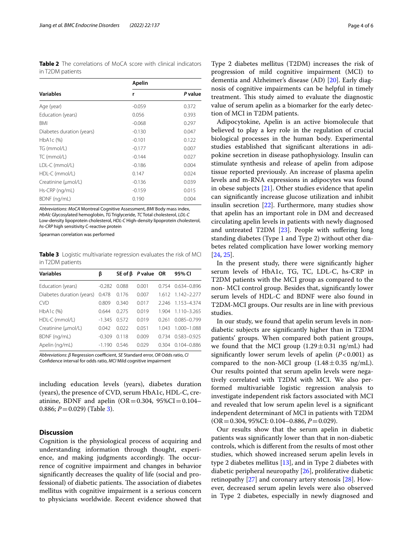<span id="page-3-0"></span>**Table 2** The correlations of MoCA score with clinical indicators in T2DM patients

|                           | Apelin   |         |  |
|---------------------------|----------|---------|--|
| <b>Variables</b>          | r        | P value |  |
| Age (year)                | $-0.059$ | 0.372   |  |
| Education (years)         | 0.056    | 0.393   |  |
| <b>BMI</b>                | $-0.068$ | 0.297   |  |
| Diabetes duration (years) | $-0.130$ | 0.047   |  |
| HbA1c (%)                 | $-0.101$ | 0.122   |  |
| TG (mmol/L)               | $-0.177$ | 0.007   |  |
| TC (mmol/L)               | $-0.144$ | 0.027   |  |
| LDL-C (mmol/L)            | $-0.186$ | 0.004   |  |
| HDL-C (mmol/L)            | 0.147    | 0.024   |  |
| Creatinine (µmol/L)       | $-0.136$ | 0.039   |  |
| Hs-CRP (ng/mL)            | $-0.159$ | 0.015   |  |
| BDNF (ng/mL)              | 0.190    | 0.004   |  |

*Abbreviations*: *MoCA* Montreal Cognitive Assessment, *BMI* Body mass index, *HbAlc* Glycosylated hemoglobin, *TG* Triglyceride, *TC* Total cholesterol, *LDL-C* Low-density lipoprotein cholesterol, *HDL-C* High-density lipoprotein cholesterol, *hs-CRP* high sensitivity C-reactive protein

Spearman correlation was performed

<span id="page-3-1"></span>**Table 3** Logistic multivariate regression evaluates the risk of MCI in T2DM patients

| <b>Variables</b>          | ß        |       | $SE$ of $\beta$ P value OR |       | 95% CI                  |
|---------------------------|----------|-------|----------------------------|-------|-------------------------|
| Education (years)         | $-0.282$ | 0.088 | 0.001                      | 0754  | 0.634-0.896             |
| Diabetes duration (years) | 0.478    | 0.176 | 0.007                      |       | $1.612$ $1.142 - 2.277$ |
| <b>CVD</b>                | 0.809    | 0.340 | 0.017                      | 2.246 | 1.153-4.374             |
| HbA1c (%)                 | 0.644    | 0.275 | 0.019                      | 1.904 | $1.110 - 3.265$         |
| HDL-C (mmol/L)            | $-1.345$ | 0.572 | 0.019                      | 0.261 | $0.085 - 0.799$         |
| Creatinine (µmol/L)       | 0.042    | 0022  | 0.051                      | 1 043 | 1.000-1.088             |
| BDNF (ng/mL)              | $-0.309$ | 0.118 | 0.009                      | 0.734 | $0.583 - 0.925$         |
| Apelin (ng/mL)            | $-1.190$ | 0.546 | 0.029                      | 0.304 | $0.104 - 0.886$         |

*Abbreviations: β* Regression coefficient, *SE* Standard error, *OR* Odds ratio, *CI* Confdence interval for odds ratio, *MCI* Mild cognitive impairment

including education levels (years), diabetes duration (years), the presence of CVD, serum HbA1c, HDL-C, creatinine, BDNF and apelin (OR=0.304,  $95\%CI = 0.104$ – 0.886; *P*=0.029) (Table [3\)](#page-3-1).

## **Discussion**

Cognition is the physiological process of acquiring and understanding information through thought, experience, and making judgments accordingly. The occurrence of cognitive impairment and changes in behavior signifcantly decreases the quality of life (social and professional) of diabetic patients. The association of diabetes mellitus with cognitive impairment is a serious concern to physicians worldwide. Recent evidence showed that

Type 2 diabetes mellitus (T2DM) increases the risk of progression of mild cognitive impairment (MCI) to dementia and Alzheimer's disease (AD) [\[20](#page-5-5)]. Early diagnosis of cognitive impairments can be helpful in timely treatment. This study aimed to evaluate the diagnostic value of serum apelin as a biomarker for the early detection of MCI in T2DM patients.

Adipocytokine, Apelin is an active biomolecule that believed to play a key role in the regulation of crucial biological processes in the human body. Experimental studies established that signifcant alterations in adipokine secretion in disease pathophysiology. Insulin can stimulate synthesis and release of apelin from adipose tissue reported previously. An increase of plasma apelin levels and m-RNA expressions in adipocytes was found in obese subjects [\[21](#page-5-6)]. Other studies evidence that apelin can signifcantly increase glucose utilization and inhibit insulin secretion [\[22\]](#page-5-7). Furthermore, many studies show that apelin has an important role in DM and decreased circulating apelin levels in patients with newly diagnosed and untreated T2DM [[23\]](#page-5-8). People with sufering long standing diabetes (Type 1 and Type 2) without other diabetes related complication have lower working memory [[24,](#page-5-9) [25](#page-5-10)].

In the present study, there were signifcantly higher serum levels of HbA1c, TG, TC, LDL-C, hs-CRP in T2DM patients with the MCI group as compared to the non- MCI control group. Besides that, signifcantly lower serum levels of HDL-C and BDNF were also found in T2DM-MCI groups. Our results are in line with previous studies.

In our study, we found that apelin serum levels in nondiabetic subjects are signifcantly higher than in T2DM patients' groups. When compared both patient groups, we found that the MCI group  $(1.29 \pm 0.31 \text{ ng/mL})$  had signifcantly lower serum levels of apelin (*P*<0.001) as compared to the non-MCI group  $(1.48 \pm 0.35 \text{ ng/mL})$ . Our results pointed that serum apelin levels were negatively correlated with T2DM with MCI. We also performed multivariable logistic regression analysis to investigate independent risk factors associated with MCI and revealed that low serum apelin level is a signifcant independent determinant of MCI in patients with T2DM (OR=0.304, 95%CI: 0.104–0.886, *P*=0.029).

Our results show that the serum apelin in diabetic patients was signifcantly lower than that in non-diabetic controls, which is diferent from the results of most other studies, which showed increased serum apelin levels in type 2 diabetes mellitus [\[13](#page-4-11)], and in Type 2 diabetes with diabetic peripheral neuropathy [\[26](#page-5-11)], proliferative diabetic retinopathy [\[27\]](#page-5-12) and coronary artery stenosis [\[28](#page-5-13)]. However, decreased serum apelin levels were also observed in Type 2 diabetes, especially in newly diagnosed and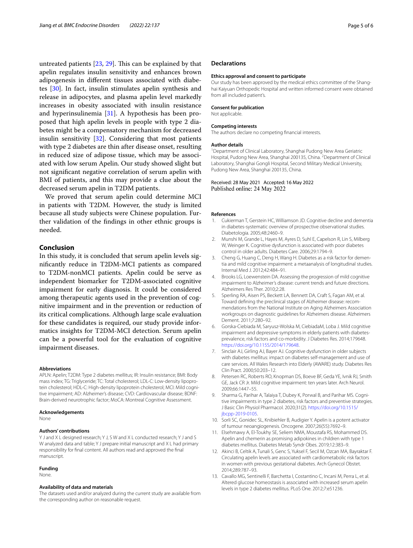untreated patients  $[23, 29]$  $[23, 29]$  $[23, 29]$  $[23, 29]$ . This can be explained by that apelin regulates insulin sensitivity and enhances brown adipogenesis in diferent tissues associated with diabetes [\[30](#page-5-15)]. In fact, insulin stimulates apelin synthesis and release in adipocytes, and plasma apelin level markedly increases in obesity associated with insulin resistance and hyperinsulinemia [\[31\]](#page-5-16). A hypothesis has been proposed that high apelin levels in people with type 2 diabetes might be a compensatory mechanism for decreased insulin sensitivity [[32\]](#page-5-17). Considering that most patients with type 2 diabetes are thin after disease onset, resulting in reduced size of adipose tissue, which may be associated with low serum Apelin. Our study showed slight but not signifcant negative correlation of serum apelin with BMI of patients, and this may provide a clue about the decreased serum apelin in T2DM patients.

We proved that serum apelin could determine MCI in patients with T2DM. However, the study is limited because all study subjects were Chinese population. Further validation of the fndings in other ethnic groups is needed.

# **Conclusion**

In this study, it is concluded that serum apelin levels signifcantly reduce in T2DM-MCI patients as compared to T2DM-nonMCI patients. Apelin could be serve as independent biomarker for T2DM-associated cognitive impairment for early diagnosis. It could be considered among therapeutic agents used in the prevention of cognitive impairment and in the prevention or reduction of its critical complications. Although large scale evaluation for these candidates is required, our study provide informatics insights for T2DM-MCI detection. Serum apelin can be a powerful tool for the evaluation of cognitive impairment diseases.

#### **Abbreviations**

APLN: Apelin; T2DM: Type 2 diabetes mellitus; IR: Insulin resistance; BMI: Body mass index; TG: Triglyceride; TC: Total cholesterol; LDL-C: Low-density lipoprotein cholesterol; HDL-C: High-density lipoprotein cholesterol; MCI: Mild cognitive impairment; AD: Alzheimer's disease; CVD: Cardiovascular disease; BDNF: Brain-derived neurotrophic factor; MoCA: Montreal Cognitive Assessment.

#### **Acknowledgements**

None

#### **Authors' contributions**

Y J and X L designed research; Y J, S W and X L conducted research; Y J and S W analyzed data and table; Y J prepare initial manuscript and X L had primary responsibility for fnal content. All authors read and approved the fnal manuscript.

#### **Funding**

None.

#### **Availability of data and materials**

The datasets used and/or analyzed during the current study are available from the corresponding author on reasonable request.

# **Declarations**

#### **Ethics approval and consent to participate**

Our study has been approved by the medical ethics committee of the Shanghai Kaiyuan Orthopedic Hospital and written informed consent were obtained from all included patient's.

#### **Consent for publication**

Not applicable.

#### **Competing interests**

The authors declare no competing fnancial interests.

#### **Author details**

<sup>1</sup> Department of Clinical Laboratory, Shanghai Pudong New Area Geriatric Hospital, Pudong New Area, Shanghai 200135, China. <sup>2</sup> Department of Clinical Laboratory, Shanghai Gongli Hospital, Second Military Medical University, Pudong New Area, Shanghai 200135, China.

# Received: 28 May 2021 Accepted: 16 May 2022 Published online: 24 May 2022

#### **References**

- <span id="page-4-0"></span>1. Cukierman T, Gerstein HC, Williamson JD. Cognitive decline and dementia in diabetes-systematic overview of prospective observational studies. Diabetologia. 2005;48:2460–9.
- 2. Munshi M, Grande L, Hayes M, Ayres D, Suhl E, Capelson R, Lin S, Milberg W, Weinger K. Cognitive dysfunction is associated with poor diabetes control in older adults. Diabetes Care. 2006;29:1794–9.
- <span id="page-4-1"></span>3. Cheng G, Huang C, Deng H, Wang H. Diabetes as a risk factor for dementia and mild cognitive impairment: a metaanalysis of longitudinal studies. Internal Med J. 2012;42:484–91.
- <span id="page-4-2"></span>4. Brooks LG, Loewenstein DA. Assessing the progression of mild cognitive impairment to Alzheimer's disease: current trends and future directions. Alzheimers Res Ther. 2010;2:28.
- <span id="page-4-3"></span>5. Sperling RA, Aisen PS, Beckett LA, Bennett DA, Craft S, Fagan AM, et al. Toward defning the preclinical stages of Alzheimer disease: recommendations from the National Institute on Aging Alzheimers Association workgroups on diagnostic guidelines for Alzheimers disease. Alzheimers Dement. 2011;7:280–92.
- <span id="page-4-4"></span>6. Gorska-Ciebiada M, Saryusz-Wolska M, CiebiadaM, Loba J. Mild cognitive impairment and depressive symptoms in elderly patients with diabetesprevalence, risk factors and co-morbidity. J Diabetes Res. 2014;179648. [https://doi.org/10.1155/2014/179648.](https://doi.org/10.1155/2014/179648)
- <span id="page-4-5"></span>7. Sinclair AJ, Girling AJ, Bayer AJ. Cognitive dysfunction in older subjects with diabetes mellitus: impact on diabetes self-management and use of care services. All Wales Research into Elderly (AWARE) study. Diabetes Res Clin Pract. 2000;50:203–12.
- <span id="page-4-6"></span>8. Petersen RC, Roberts RO, Knopman DS, Boeve BF, Geda YE, Ivnik RJ, Smith GE, Jack CR Jr. Mild cognitive impairment: ten years later. Arch Neurol. 2009;66:1447–55.
- <span id="page-4-7"></span>9. Sharma G, Parihar A, Talaiya T, Dubey K, Porwal B, and Parihar MS. Cognitive impairments in type 2 diabetes, risk factors and preventive strategies. J Basic Clin Physiol Pharmacol. 2020;31(2). [https://doi.org/10.1515/](https://doi.org/10.1515/jbcpp-2019-0105) [jbcpp-2019-0105.](https://doi.org/10.1515/jbcpp-2019-0105)
- <span id="page-4-8"></span>10. Sorli SC, Gonidec SL, Knibiehler B, Audigier Y. Apelin is a potent activator of tumour neoangiogenesis. Oncogene. 2007;26(55):7692–9.
- <span id="page-4-9"></span>11. Elsehmawy A, El-Toukhy SE, Seliem NMA, Moustafa RS, Mohammed DS. Apelin and chemerin as promising adipokines in children with type 1 diabetes mellitus. Diabetes Metab Syndr Obes. 2019;12:383–9.
- <span id="page-4-10"></span>12. Akinci B, Celtik A, Tunali S, Genc S, Yuksel F, Secil M, Ozcan MA, Bayraktar F. Circulating apelin levels are associated with cardiometabolic risk factors in women with previous gestational diabetes. Arch Gynecol Obstet. 2014;289:787–93.
- <span id="page-4-11"></span>13. Cavallo MG, Sentinelli F, Barchetta I, Costantino C, Incani M, Perra L, et al. Altered glucose homeostasis is associated with increased serum apelin levels in type 2 diabetes mellitus. PLoS One. 2012;7:e51236.